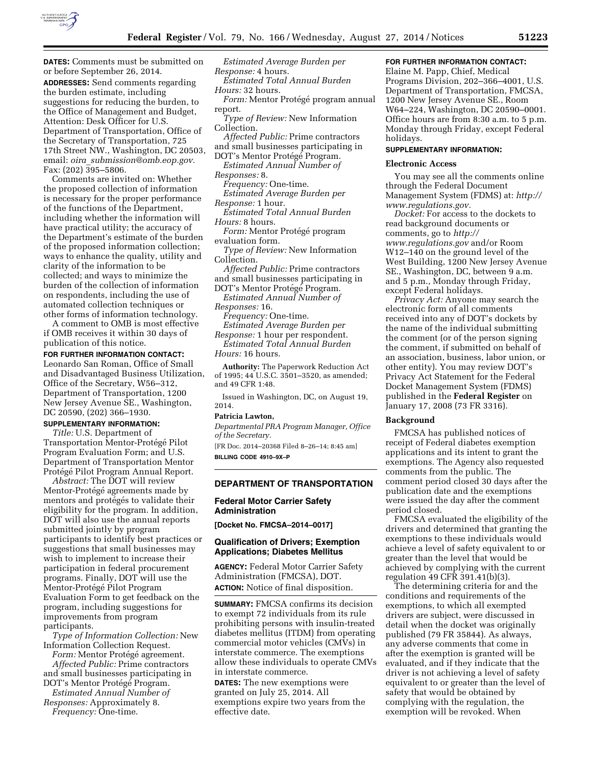

**DATES:** Comments must be submitted on or before September 26, 2014. **ADDRESSES:** Send comments regarding the burden estimate, including suggestions for reducing the burden, to the Office of Management and Budget, Attention: Desk Officer for U.S. Department of Transportation, Office of the Secretary of Transportation, 725 17th Street NW., Washington, DC 20503, email: *oira*\_*[submission@omb.eop.gov.](mailto:oira_submission@omb.eop.gov)*  Fax: (202) 395–5806.

Comments are invited on: Whether the proposed collection of information is necessary for the proper performance of the functions of the Department, including whether the information will have practical utility; the accuracy of the Department's estimate of the burden of the proposed information collection; ways to enhance the quality, utility and clarity of the information to be collected; and ways to minimize the burden of the collection of information on respondents, including the use of automated collection techniques or other forms of information technology.

A comment to OMB is most effective if OMB receives it within 30 days of publication of this notice.

#### **FOR FURTHER INFORMATION CONTACT:**

Leonardo San Roman, Office of Small and Disadvantaged Business Utilization, Office of the Secretary, W56–312, Department of Transportation, 1200 New Jersey Avenue SE., Washington, DC 20590, (202) 366–1930.

#### **SUPPLEMENTARY INFORMATION:**

*Title:* U.S. Department of Transportation Mentor-Protégé Pilot Program Evaluation Form; and U.S. Department of Transportation Mentor Protégé Pilot Program Annual Report.

*Abstract:* The DOT will review Mentor-Protégé agreements made by mentors and protégés to validate their eligibility for the program. In addition, DOT will also use the annual reports submitted jointly by program participants to identify best practices or suggestions that small businesses may wish to implement to increase their participation in federal procurement programs. Finally, DOT will use the Mentor-Protégé Pilot Program Evaluation Form to get feedback on the program, including suggestions for improvements from program participants.

*Type of Information Collection:* New Information Collection Request.

*Form:* Mentor Protégé agreement. *Affected Public:* Prime contractors and small businesses participating in

DOT's Mentor Protégé Program. *Estimated Annual Number of Responses:* Approximately 8.

*Frequency:* One-time.

*Estimated Average Burden per Response:* 4 hours.

*Estimated Total Annual Burden Hours:* 32 hours.

*Form:* Mentor Protégé program annual report.

*Type of Review:* New Information Collection.

- *Affected Public:* Prime contractors and small businesses participating in
- DOT's Mentor Protégé Program.

*Estimated Annual Number of Responses:* 8.

*Frequency:* One-time.

*Estimated Average Burden per Response:* 1 hour.

*Estimated Total Annual Burden Hours:* 8 hours.

 $Form:$  Mentor Protégé program evaluation form.

*Type of Review:* New Information Collection.

*Affected Public:* Prime contractors and small businesses participating in

DOT's Mentor Protégé Program. *Estimated Annual Number of* 

*Responses:* 16.

*Frequency:* One-time.

*Estimated Average Burden per Response:* 1 hour per respondent. *Estimated Total Annual Burden* 

*Hours:* 16 hours.

**Authority:** The Paperwork Reduction Act of 1995; 44 U.S.C. 3501–3520, as amended; and 49 CFR 1:48.

Issued in Washington, DC, on August 19, 2014.

### **Patricia Lawton,**

*Departmental PRA Program Manager, Office of the Secretary.* 

[FR Doc. 2014–20368 Filed 8–26–14; 8:45 am] **BILLING CODE 4910–9X–P** 

## **DEPARTMENT OF TRANSPORTATION**

#### **Federal Motor Carrier Safety Administration**

**[Docket No. FMCSA–2014–0017]** 

### **Qualification of Drivers; Exemption Applications; Diabetes Mellitus**

**AGENCY:** Federal Motor Carrier Safety Administration (FMCSA), DOT. **ACTION:** Notice of final disposition.

**SUMMARY:** FMCSA confirms its decision to exempt 72 individuals from its rule prohibiting persons with insulin-treated diabetes mellitus (ITDM) from operating commercial motor vehicles (CMVs) in interstate commerce. The exemptions allow these individuals to operate CMVs in interstate commerce.

**DATES:** The new exemptions were granted on July 25, 2014. All exemptions expire two years from the effective date.

## **FOR FURTHER INFORMATION CONTACT:**

Elaine M. Papp, Chief, Medical Programs Division, 202–366–4001, U.S. Department of Transportation, FMCSA, 1200 New Jersey Avenue SE., Room W64–224, Washington, DC 20590–0001. Office hours are from 8:30 a.m. to 5 p.m. Monday through Friday, except Federal holidays.

## **SUPPLEMENTARY INFORMATION:**

### **Electronic Access**

You may see all the comments online through the Federal Document Management System (FDMS) at: *[http://](http://www.regulations.gov) [www.regulations.gov.](http://www.regulations.gov)* 

*Docket:* For access to the dockets to read background documents or comments, go to *[http://](http://www.regulations.gov) [www.regulations.gov](http://www.regulations.gov)* and/or Room W12–140 on the ground level of the West Building, 1200 New Jersey Avenue SE., Washington, DC, between 9 a.m. and 5 p.m., Monday through Friday, except Federal holidays.

*Privacy Act:* Anyone may search the electronic form of all comments received into any of DOT's dockets by the name of the individual submitting the comment (or of the person signing the comment, if submitted on behalf of an association, business, labor union, or other entity). You may review DOT's Privacy Act Statement for the Federal Docket Management System (FDMS) published in the **Federal Register** on January 17, 2008 (73 FR 3316).

#### **Background**

FMCSA has published notices of receipt of Federal diabetes exemption applications and its intent to grant the exemptions. The Agency also requested comments from the public. The comment period closed 30 days after the publication date and the exemptions were issued the day after the comment period closed.

FMCSA evaluated the eligibility of the drivers and determined that granting the exemptions to these individuals would achieve a level of safety equivalent to or greater than the level that would be achieved by complying with the current regulation 49 CFR 391.41(b)(3).

The determining criteria for and the conditions and requirements of the exemptions, to which all exempted drivers are subject, were discussed in detail when the docket was originally published (79 FR 35844). As always, any adverse comments that come in after the exemption is granted will be evaluated, and if they indicate that the driver is not achieving a level of safety equivalent to or greater than the level of safety that would be obtained by complying with the regulation, the exemption will be revoked. When